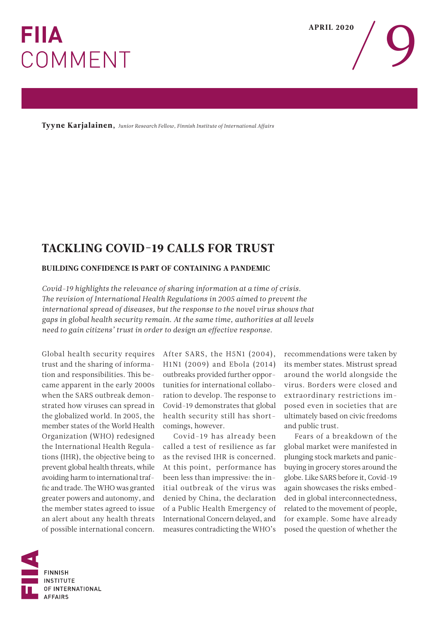## **FIIA** COMMENT

APRIL 2020

Tyyne Karjalainen, *Junior Research Fellow, Finnish Institute of International Affairs*

## TACKLING COVID-19 CALLS FOR TRUST

## BUILDING CONFIDENCE IS PART OF CONTAINING A PANDEMIC

*Covid-19 highlights the relevance of sharing information at a time of crisis. The revision of International Health Regulations in 2005 aimed to prevent the international spread of diseases, but the response to the novel virus shows that gaps in global health security remain. At the same time, authorities at all levels need to gain citizens' trust in order to design an effective response.*

Global health security requires trust and the sharing of information and responsibilities. This became apparent in the early 2000s when the SARS outbreak demonstrated how viruses can spread in the globalized world. In 2005, the member states of the World Health Organization (WHO) redesigned the International Health Regulations (IHR), the objective being to prevent global health threats, while avoiding harm to international traffic and trade. The WHO was granted greater powers and autonomy, and the member states agreed to issue an alert about any health threats of possible international concern.

After SARS, the H5N1 (2004), H1N1 (2009) and Ebola (2014) outbreaks provided further opportunities for international collaboration to develop. The response to Covid-19 demonstrates that global health security still has shortcomings, however.

Covid-19 has already been called a test of resilience as far as the revised IHR is concerned. At this point, performance has been less than impressive: the initial outbreak of the virus was denied by China, the declaration of a Public Health Emergency of International Concern delayed, and measures contradicting the WHO's

recommendations were taken by its member states. Mistrust spread around the world alongside the virus. Borders were closed and extraordinary restrictions imposed even in societies that are ultimately based on civic freedoms and public trust.

Fears of a breakdown of the global market were manifested in plunging stock markets and panicbuying in grocery stores around the globe. Like SARS before it, Covid-19 again showcases the risks embedded in global interconnectedness, related to the movement of people, for example. Some have already posed the question of whether the